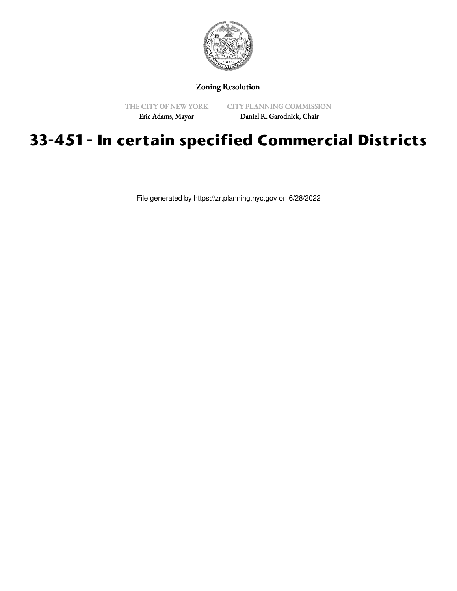

## Zoning Resolution

THE CITY OF NEW YORK

CITY PLANNING COMMISSION

Eric Adams, Mayor

Daniel R. Garodnick, Chair

## **33-451 - In certain specified Commercial Districts**

File generated by https://zr.planning.nyc.gov on 6/28/2022